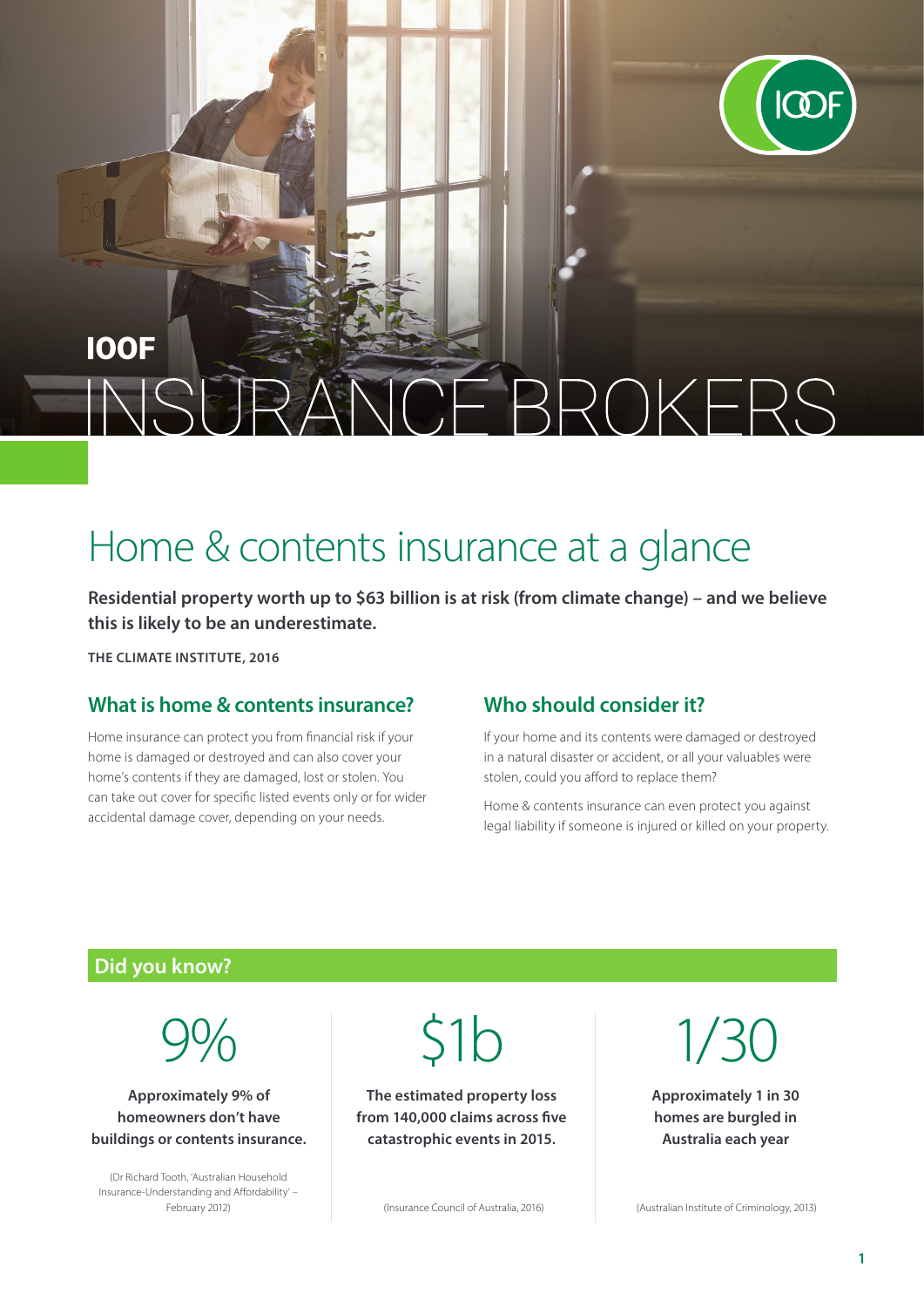

# **IOOF BROKERS**

# Home & contents insurance at a glance

**Residential property worth up to \$63 billion is at risk (from climate change) – and we believe this is likely to be an underestimate.**

**THE CLIMATE INSTITUTE, 2016**

#### **What is home & contents insurance?**

Home insurance can protect you from financial risk if your home is damaged or destroyed and can also cover your home's contents if they are damaged, lost or stolen. You can take out cover for specific listed events only or for wider accidental damage cover, depending on your needs.

#### **Who should consider it?**

If your home and its contents were damaged or destroyed in a natural disaster or accident, or all your valuables were stolen, could you afford to replace them?

Home & contents insurance can even protect you against legal liability if someone is injured or killed on your property.

## **Did you know?**

9%

**Approximately 9% of homeowners don't have buildings or contents insurance.**

(Dr Richard Tooth, 'Australian Household Insurance-Understanding and Affordability' –  $51<sub>b</sub>$ 

**The estimated property loss from 140,000 claims across five catastrophic events in 2015.**

February 2012) (Insurance Council of Australia, 2016) (Australian Institute of Criminology, 2013)

1/30

**Approximately 1 in 30 homes are burgled in Australia each year**